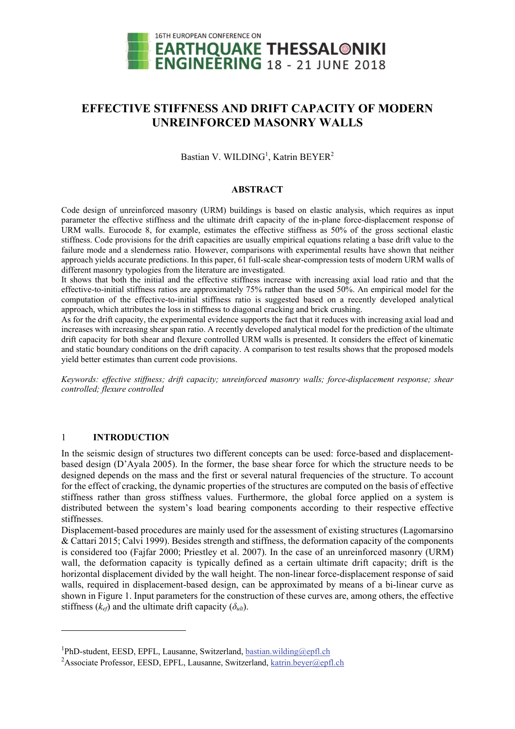

# **EFFECTIVE STIFFNESS AND DRIFT CAPACITY OF MODERN UNREINFORCED MASONRY WALLS**

Bastian V. WILDING<sup>1</sup>, Katrin BEYER<sup>2</sup>

# **ABSTRACT**

Code design of unreinforced masonry (URM) buildings is based on elastic analysis, which requires as input parameter the effective stiffness and the ultimate drift capacity of the in-plane force-displacement response of URM walls. Eurocode 8, for example, estimates the effective stiffness as 50% of the gross sectional elastic stiffness. Code provisions for the drift capacities are usually empirical equations relating a base drift value to the failure mode and a slenderness ratio. However, comparisons with experimental results have shown that neither approach yields accurate predictions. In this paper, 61 full-scale shear-compression tests of modern URM walls of different masonry typologies from the literature are investigated.

It shows that both the initial and the effective stiffness increase with increasing axial load ratio and that the effective-to-initial stiffness ratios are approximately 75% rather than the used 50%. An empirical model for the computation of the effective-to-initial stiffness ratio is suggested based on a recently developed analytical approach, which attributes the loss in stiffness to diagonal cracking and brick crushing.

As for the drift capacity, the experimental evidence supports the fact that it reduces with increasing axial load and increases with increasing shear span ratio. A recently developed analytical model for the prediction of the ultimate drift capacity for both shear and flexure controlled URM walls is presented. It considers the effect of kinematic and static boundary conditions on the drift capacity. A comparison to test results shows that the proposed models yield better estimates than current code provisions.

*Keywords: effective stiffness; drift capacity; unreinforced masonry walls; force-displacement response; shear controlled; flexure controlled* 

# 1 **INTRODUCTION**

1

In the seismic design of structures two different concepts can be used: force-based and displacementbased design (D'Ayala 2005). In the former, the base shear force for which the structure needs to be designed depends on the mass and the first or several natural frequencies of the structure. To account for the effect of cracking, the dynamic properties of the structures are computed on the basis of effective stiffness rather than gross stiffness values. Furthermore, the global force applied on a system is distributed between the system's load bearing components according to their respective effective stiffnesses.

Displacement-based procedures are mainly used for the assessment of existing structures (Lagomarsino & Cattari 2015; Calvi 1999). Besides strength and stiffness, the deformation capacity of the components is considered too (Fajfar 2000; Priestley et al. 2007). In the case of an unreinforced masonry (URM) wall, the deformation capacity is typically defined as a certain ultimate drift capacity; drift is the horizontal displacement divided by the wall height. The non-linear force-displacement response of said walls, required in displacement-based design, can be approximated by means of a bi-linear curve as shown in Figure 1. Input parameters for the construction of these curves are, among others, the effective stiffness  $(k_{ef})$  and the ultimate drift capacity  $(\delta_{ult})$ .

<sup>&</sup>lt;sup>1</sup>PhD-student, EESD, EPFL, Lausanne, Switzerland, bastian.wilding@epfl.ch

<sup>&</sup>lt;sup>2</sup> Associate Professor, EESD, EPFL, Lausanne, Switzerland, katrin.beyer@epfl.ch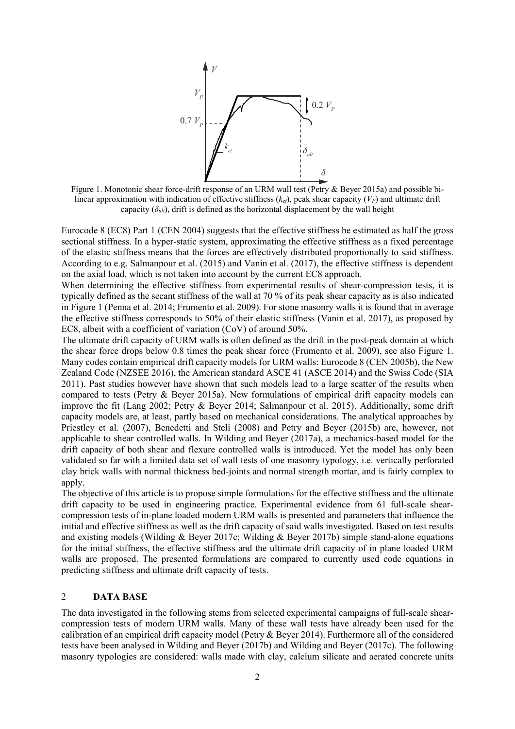

Figure 1. Monotonic shear force-drift response of an URM wall test (Petry & Beyer 2015a) and possible bilinear approximation with indication of effective stiffness (*kef*), peak shear capacity (*VP*) and ultimate drift capacity  $(\delta_{u_l})$ , drift is defined as the horizontal displacement by the wall height

Eurocode 8 (EC8) Part 1 (CEN 2004) suggests that the effective stiffness be estimated as half the gross sectional stiffness. In a hyper-static system, approximating the effective stiffness as a fixed percentage of the elastic stiffness means that the forces are effectively distributed proportionally to said stiffness. According to e.g. Salmanpour et al. (2015) and Vanin et al. (2017), the effective stiffness is dependent on the axial load, which is not taken into account by the current EC8 approach.

When determining the effective stiffness from experimental results of shear-compression tests, it is typically defined as the secant stiffness of the wall at 70 % of its peak shear capacity as is also indicated in Figure 1 (Penna et al. 2014; Frumento et al. 2009). For stone masonry walls it is found that in average the effective stiffness corresponds to 50% of their elastic stiffness (Vanin et al. 2017), as proposed by EC8, albeit with a coefficient of variation (CoV) of around 50%.

The ultimate drift capacity of URM walls is often defined as the drift in the post-peak domain at which the shear force drops below 0.8 times the peak shear force (Frumento et al. 2009), see also Figure 1. Many codes contain empirical drift capacity models for URM walls: Eurocode 8 (CEN 2005b), the New Zealand Code (NZSEE 2016), the American standard ASCE 41 (ASCE 2014) and the Swiss Code (SIA 2011). Past studies however have shown that such models lead to a large scatter of the results when compared to tests (Petry & Beyer 2015a). New formulations of empirical drift capacity models can improve the fit (Lang 2002; Petry & Beyer 2014; Salmanpour et al. 2015). Additionally, some drift capacity models are, at least, partly based on mechanical considerations. The analytical approaches by Priestley et al. (2007), Benedetti and Steli (2008) and Petry and Beyer (2015b) are, however, not applicable to shear controlled walls. In Wilding and Beyer (2017a), a mechanics-based model for the drift capacity of both shear and flexure controlled walls is introduced. Yet the model has only been validated so far with a limited data set of wall tests of one masonry typology, i.e. vertically perforated clay brick walls with normal thickness bed-joints and normal strength mortar, and is fairly complex to apply.

The objective of this article is to propose simple formulations for the effective stiffness and the ultimate drift capacity to be used in engineering practice. Experimental evidence from 61 full-scale shearcompression tests of in-plane loaded modern URM walls is presented and parameters that influence the initial and effective stiffness as well as the drift capacity of said walls investigated. Based on test results and existing models (Wilding & Beyer 2017c; Wilding & Beyer 2017b) simple stand-alone equations for the initial stiffness, the effective stiffness and the ultimate drift capacity of in plane loaded URM walls are proposed. The presented formulations are compared to currently used code equations in predicting stiffness and ultimate drift capacity of tests.

# 2 **DATA BASE**

The data investigated in the following stems from selected experimental campaigns of full-scale shearcompression tests of modern URM walls. Many of these wall tests have already been used for the calibration of an empirical drift capacity model (Petry & Beyer 2014). Furthermore all of the considered tests have been analysed in Wilding and Beyer (2017b) and Wilding and Beyer (2017c). The following masonry typologies are considered: walls made with clay, calcium silicate and aerated concrete units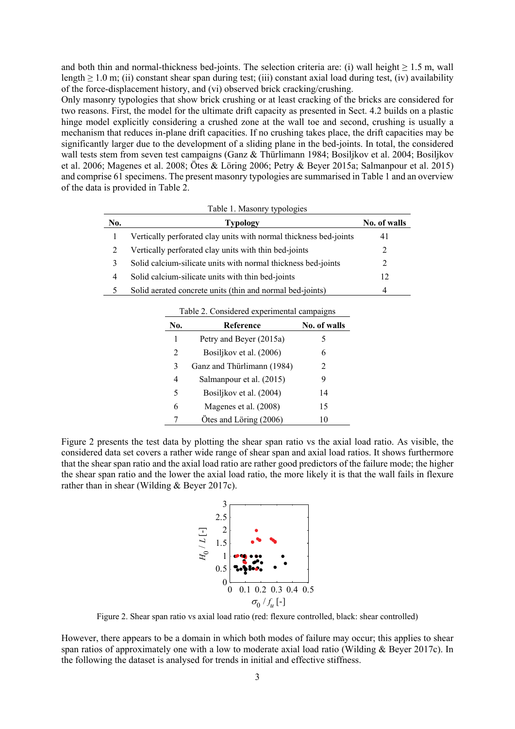and both thin and normal-thickness bed-joints. The selection criteria are: (i) wall height  $\geq 1.5$  m, wall length  $\geq 1.0$  m; (ii) constant shear span during test; (iii) constant axial load during test, (iv) availability of the force-displacement history, and (vi) observed brick cracking/crushing.

Only masonry typologies that show brick crushing or at least cracking of the bricks are considered for two reasons. First, the model for the ultimate drift capacity as presented in Sect. 4.2 builds on a plastic hinge model explicitly considering a crushed zone at the wall toe and second, crushing is usually a mechanism that reduces in-plane drift capacities. If no crushing takes place, the drift capacities may be significantly larger due to the development of a sliding plane in the bed-joints. In total, the considered wall tests stem from seven test campaigns (Ganz & Thürlimann 1984; Bosiljkov et al. 2004; Bosiljkov et al. 2006; Magenes et al. 2008; Ötes & Löring 2006; Petry & Beyer 2015a; Salmanpour et al. 2015) and comprise 61 specimens. The present masonry typologies are summarised in Table 1 and an overview of the data is provided in Table 2.

|     | Table 1. Masonry typologies                                       |              |
|-----|-------------------------------------------------------------------|--------------|
| No. | <b>Typology</b>                                                   | No. of walls |
|     | Vertically perforated clay units with normal thickness bed-joints | 41           |
|     | Vertically perforated clay units with thin bed-joints             | 2            |
|     | Solid calcium-silicate units with normal thickness bed-joints     |              |
| 4   | Solid calcium-silicate units with thin bed-joints                 | 12           |
|     | Solid aerated concrete units (thin and normal bed-joints)         | 4            |

|  | Table 2. Considered experimental campaigns |  |
|--|--------------------------------------------|--|
|  |                                            |  |

| No. | Reference                  | No. of walls |
|-----|----------------------------|--------------|
| 1   | Petry and Beyer (2015a)    |              |
| 2   | Bosiljkov et al. (2006)    | 6            |
| 3   | Ganz and Thürlimann (1984) | 2            |
| 4   | Salmanpour et al. (2015)   | 9            |
| 5   | Bosiljkov et al. (2004)    | 14           |
| 6   | Magenes et al. (2008)      | 15           |
|     | Ötes and Löring (2006)     | 10           |

Figure 2 presents the test data by plotting the shear span ratio vs the axial load ratio. As visible, the considered data set covers a rather wide range of shear span and axial load ratios. It shows furthermore that the shear span ratio and the axial load ratio are rather good predictors of the failure mode; the higher the shear span ratio and the lower the axial load ratio, the more likely it is that the wall fails in flexure rather than in shear (Wilding & Beyer 2017c).



Figure 2. Shear span ratio vs axial load ratio (red: flexure controlled, black: shear controlled)

However, there appears to be a domain in which both modes of failure may occur; this applies to shear span ratios of approximately one with a low to moderate axial load ratio (Wilding  $\&$  Beyer 2017c). In the following the dataset is analysed for trends in initial and effective stiffness.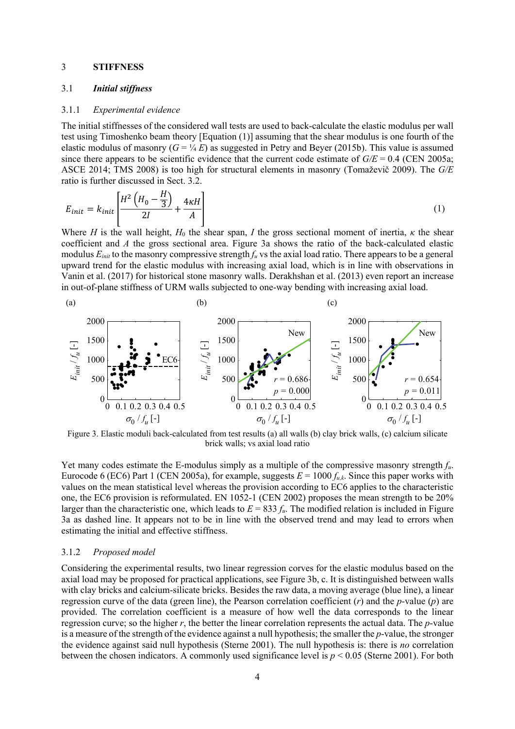### 3 **STIFFNESS**

# 3.1 *Initial stiffness*

### 3.1.1 *Experimental evidence*

The initial stiffnesses of the considered wall tests are used to back-calculate the elastic modulus per wall test using Timoshenko beam theory [Equation (1)] assuming that the shear modulus is one fourth of the elastic modulus of masonry  $(G = \frac{1}{4}E)$  as suggested in Petry and Beyer (2015b). This value is assumed since there appears to be scientific evidence that the current code estimate of  $G/E = 0.4$  (CEN 2005a; ASCE 2014; TMS 2008) is too high for structural elements in masonry (Tomaževič 2009). The *G/E* ratio is further discussed in Sect. 3.2.

$$
E_{init} = k_{init} \left[ \frac{H^2 \left( H_0 - \frac{H}{3} \right)}{2I} + \frac{4\kappa H}{A} \right] \tag{1}
$$

Where *H* is the wall height,  $H_0$  the shear span, *I* the gross sectional moment of inertia,  $\kappa$  the shear coefficient and *A* the gross sectional area. Figure 3a shows the ratio of the back-calculated elastic modulus  $E_{init}$  to the masonry compressive strength  $f_u$  vs the axial load ratio. There appears to be a general upward trend for the elastic modulus with increasing axial load, which is in line with observations in Vanin et al. (2017) for historical stone masonry walls. Derakhshan et al. (2013) even report an increase in out-of-plane stiffness of URM walls subjected to one-way bending with increasing axial load.



Figure 3. Elastic moduli back-calculated from test results (a) all walls (b) clay brick walls, (c) calcium silicate brick walls; vs axial load ratio

Yet many codes estimate the E-modulus simply as a multiple of the compressive masonry strength *fu*. Eurocode 6 (EC6) Part 1 (CEN 2005a), for example, suggests  $E = 1000 f_{uk}$ . Since this paper works with values on the mean statistical level whereas the provision according to EC6 applies to the characteristic one, the EC6 provision is reformulated. EN 1052-1 (CEN 2002) proposes the mean strength to be 20% larger than the characteristic one, which leads to  $E = 833 f_u$ . The modified relation is included in Figure 3a as dashed line. It appears not to be in line with the observed trend and may lead to errors when estimating the initial and effective stiffness.

### 3.1.2 *Proposed model*

Considering the experimental results, two linear regression corves for the elastic modulus based on the axial load may be proposed for practical applications, see Figure 3b, c. It is distinguished between walls with clay bricks and calcium-silicate bricks. Besides the raw data, a moving average (blue line), a linear regression curve of the data (green line), the Pearson correlation coefficient (*r*) and the *p*-value (*p*) are provided. The correlation coefficient is a measure of how well the data corresponds to the linear regression curve; so the higher *r*, the better the linear correlation represents the actual data. The *p*-value is a measure of the strength of the evidence against a null hypothesis; the smaller the *p*-value, the stronger the evidence against said null hypothesis (Sterne 2001). The null hypothesis is: there is *no* correlation between the chosen indicators. A commonly used significance level is *p* < 0.05 (Sterne 2001). For both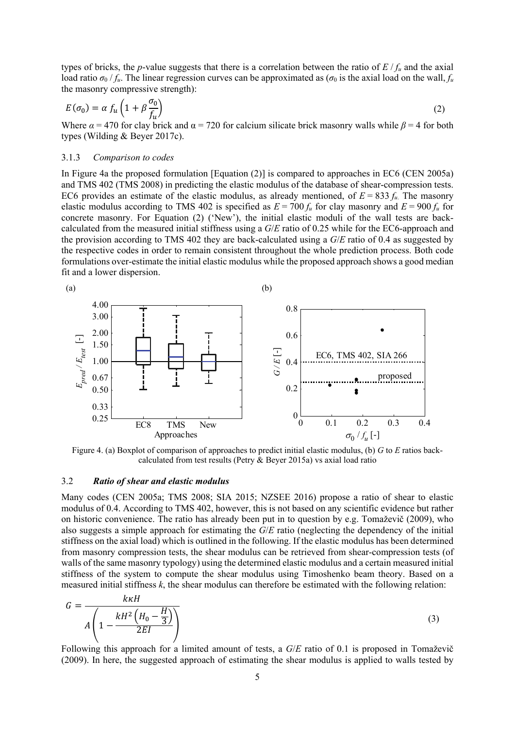types of bricks, the *p*-value suggests that there is a correlation between the ratio of *E* / *fu* and the axial load ratio  $\sigma_0 / f_u$ . The linear regression curves can be approximated as ( $\sigma_0$  is the axial load on the wall,  $f_u$ the masonry compressive strength):

$$
E(\sigma_0) = \alpha f_u \left( 1 + \beta \frac{\sigma_0}{f_u} \right)
$$
 (2)

Where  $\alpha$  = 470 for clay brick and  $\alpha$  = 720 for calcium silicate brick masonry walls while  $\beta$  = 4 for both types (Wilding & Beyer 2017c).

## 3.1.3 *Comparison to codes*

In Figure 4a the proposed formulation [Equation (2)] is compared to approaches in EC6 (CEN 2005a) and TMS 402 (TMS 2008) in predicting the elastic modulus of the database of shear-compression tests. EC6 provides an estimate of the elastic modulus, as already mentioned, of  $E = 833 f_u$ . The masonry elastic modulus according to TMS 402 is specified as  $E = 700 f_u$  for clay masonry and  $E = 900 f_u$  for concrete masonry. For Equation (2) ('New'), the initial elastic moduli of the wall tests are backcalculated from the measured initial stiffness using a *G*/*E* ratio of 0.25 while for the EC6-approach and the provision according to TMS 402 they are back-calculated using a *G*/*E* ratio of 0.4 as suggested by the respective codes in order to remain consistent throughout the whole prediction process. Both code formulations over-estimate the initial elastic modulus while the proposed approach shows a good median fit and a lower dispersion.



Figure 4. (a) Boxplot of comparison of approaches to predict initial elastic modulus, (b) *G* to *E* ratios backcalculated from test results (Petry & Beyer 2015a) vs axial load ratio

### 3.2 *Ratio of shear and elastic modulus*

Many codes (CEN 2005a; TMS 2008; SIA 2015; NZSEE 2016) propose a ratio of shear to elastic modulus of 0.4. According to TMS 402, however, this is not based on any scientific evidence but rather on historic convenience. The ratio has already been put in to question by e.g. Tomaževič (2009), who also suggests a simple approach for estimating the *G*/*E* ratio (neglecting the dependency of the initial stiffness on the axial load) which is outlined in the following. If the elastic modulus has been determined from masonry compression tests, the shear modulus can be retrieved from shear-compression tests (of walls of the same masonry typology) using the determined elastic modulus and a certain measured initial stiffness of the system to compute the shear modulus using Timoshenko beam theory. Based on a measured initial stiffness  $k$ , the shear modulus can therefore be estimated with the following relation:

$$
G = \frac{k\kappa H}{A\left(1 - \frac{kH^2\left(H_0 - \frac{H}{3}\right)}{2EI}\right)}
$$
(3)

Following this approach for a limited amount of tests, a *G*/*E* ratio of 0.1 is proposed in Tomaževič (2009). In here, the suggested approach of estimating the shear modulus is applied to walls tested by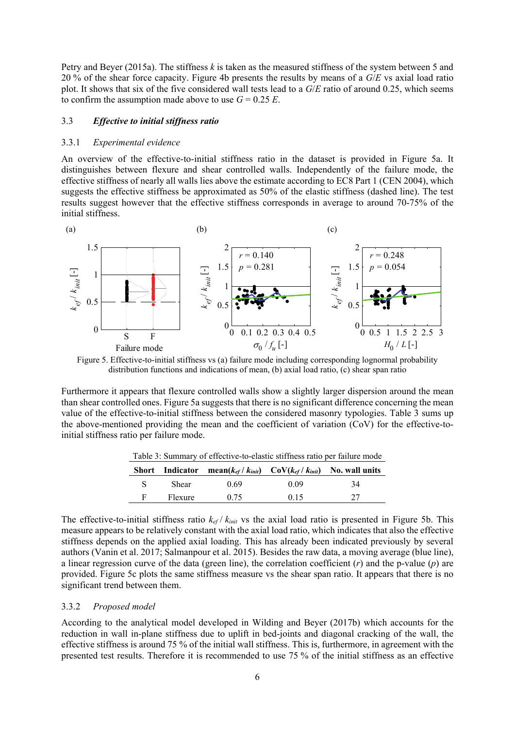Petry and Beyer (2015a). The stiffness *k* is taken as the measured stiffness of the system between 5 and 20 % of the shear force capacity. Figure 4b presents the results by means of a *G*/*E* vs axial load ratio plot. It shows that six of the five considered wall tests lead to a *G*/*E* ratio of around 0.25, which seems to confirm the assumption made above to use  $G = 0.25 E$ .

# 3.3 *Effective to initial stiffness ratio*

#### 3.3.1 *Experimental evidence*

An overview of the effective-to-initial stiffness ratio in the dataset is provided in Figure 5a. It distinguishes between flexure and shear controlled walls. Independently of the failure mode, the effective stiffness of nearly all walls lies above the estimate according to EC8 Part 1 (CEN 2004), which suggests the effective stiffness be approximated as 50% of the elastic stiffness (dashed line). The test results suggest however that the effective stiffness corresponds in average to around 70-75% of the initial stiffness.



Figure 5. Effective-to-initial stiffness vs (a) failure mode including corresponding lognormal probability distribution functions and indications of mean, (b) axial load ratio, (c) shear span ratio

Furthermore it appears that flexure controlled walls show a slightly larger dispersion around the mean than shear controlled ones. Figure 5a suggests that there is no significant difference concerning the mean value of the effective-to-initial stiffness between the considered masonry typologies. Table 3 sums up the above-mentioned providing the mean and the coefficient of variation (CoV) for the effective-toinitial stiffness ratio per failure mode.

|    |         | <b>Short</b> Indicator mean( $k_{ef}/k_{init}$ ) $\text{CoV}(k_{ef}/k_{init})$ No. wall units |      |    |
|----|---------|-----------------------------------------------------------------------------------------------|------|----|
| S. | Shear   | 0.69                                                                                          | 0.09 | 34 |
| F  | Flexure | 0.75                                                                                          | 0.15 | 27 |

Table 3: Summary of effective-to-elastic stiffness ratio per failure mode

The effective-to-initial stiffness ratio *kef* / *kinit* vs the axial load ratio is presented in Figure 5b. This measure appears to be relatively constant with the axial load ratio, which indicates that also the effective stiffness depends on the applied axial loading. This has already been indicated previously by several authors (Vanin et al. 2017; Salmanpour et al. 2015). Besides the raw data, a moving average (blue line), a linear regression curve of the data (green line), the correlation coefficient (*r*) and the p-value (*p*) are provided. Figure 5c plots the same stiffness measure vs the shear span ratio. It appears that there is no significant trend between them.

### 3.3.2 *Proposed model*

According to the analytical model developed in Wilding and Beyer (2017b) which accounts for the reduction in wall in-plane stiffness due to uplift in bed-joints and diagonal cracking of the wall, the effective stiffness is around 75 % of the initial wall stiffness. This is, furthermore, in agreement with the presented test results. Therefore it is recommended to use 75 % of the initial stiffness as an effective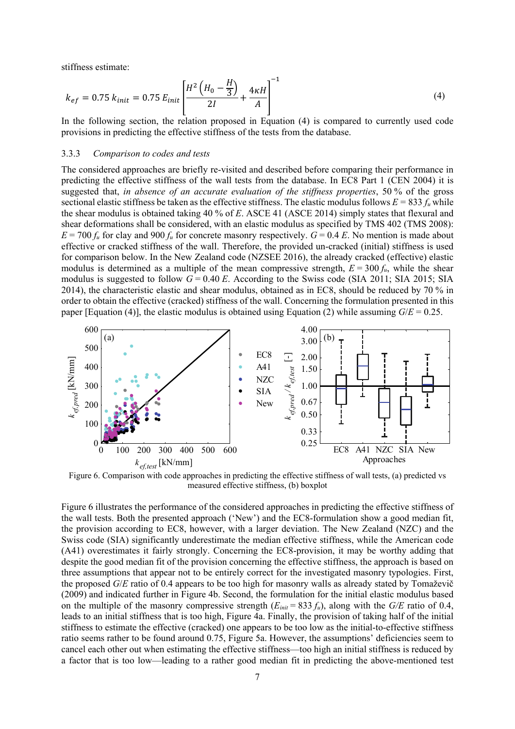stiffness estimate:

$$
k_{ef} = 0.75 \ k_{init} = 0.75 \ E_{init} \left[ \frac{H^2 \left( H_0 - \frac{H}{3} \right)}{2I} + \frac{4 \kappa H}{A} \right]^{-1} \tag{4}
$$

In the following section, the relation proposed in Equation (4) is compared to currently used code provisions in predicting the effective stiffness of the tests from the database.

### 3.3.3 *Comparison to codes and tests*

The considered approaches are briefly re-visited and described before comparing their performance in predicting the effective stiffness of the wall tests from the database. In EC8 Part 1 (CEN 2004) it is suggested that, *in absence of an accurate evaluation of the stiffness properties*, 50 % of the gross sectional elastic stiffness be taken as the effective stiffness. The elastic modulus follows  $E = 833 f_u$  while the shear modulus is obtained taking 40 % of *E*. ASCE 41 (ASCE 2014) simply states that flexural and shear deformations shall be considered, with an elastic modulus as specified by TMS 402 (TMS 2008):  $E = 700 f_u$  for clay and 900  $f_u$  for concrete masonry respectively.  $G = 0.4 E$ . No mention is made about effective or cracked stiffness of the wall. Therefore, the provided un-cracked (initial) stiffness is used for comparison below. In the New Zealand code (NZSEE 2016), the already cracked (effective) elastic modulus is determined as a multiple of the mean compressive strength,  $E = 300 f_u$ , while the shear modulus is suggested to follow  $G = 0.40 E$ . According to the Swiss code (SIA 2011; SIA 2015; SIA 2014), the characteristic elastic and shear modulus, obtained as in EC8, should be reduced by 70 % in order to obtain the effective (cracked) stiffness of the wall. Concerning the formulation presented in this paper [Equation (4)], the elastic modulus is obtained using Equation (2) while assuming  $G/E = 0.25$ .



Figure 6. Comparison with code approaches in predicting the effective stiffness of wall tests, (a) predicted vs measured effective stiffness, (b) boxplot

Figure 6 illustrates the performance of the considered approaches in predicting the effective stiffness of the wall tests. Both the presented approach ('New') and the EC8-formulation show a good median fit, the provision according to EC8, however, with a larger deviation. The New Zealand (NZC) and the Swiss code (SIA) significantly underestimate the median effective stiffness, while the American code (A41) overestimates it fairly strongly. Concerning the EC8-provision, it may be worthy adding that despite the good median fit of the provision concerning the effective stiffness, the approach is based on three assumptions that appear not to be entirely correct for the investigated masonry typologies. First, the proposed *G*/*E* ratio of 0.4 appears to be too high for masonry walls as already stated by Tomaževič (2009) and indicated further in Figure 4b. Second, the formulation for the initial elastic modulus based on the multiple of the masonry compressive strength  $(E_{init} = 833 f_u)$ , along with the *G*/*E* ratio of 0.4, leads to an initial stiffness that is too high, Figure 4a. Finally, the provision of taking half of the initial stiffness to estimate the effective (cracked) one appears to be too low as the initial-to-effective stiffness ratio seems rather to be found around 0.75, Figure 5a. However, the assumptions' deficiencies seem to cancel each other out when estimating the effective stiffness—too high an initial stiffness is reduced by a factor that is too low—leading to a rather good median fit in predicting the above-mentioned test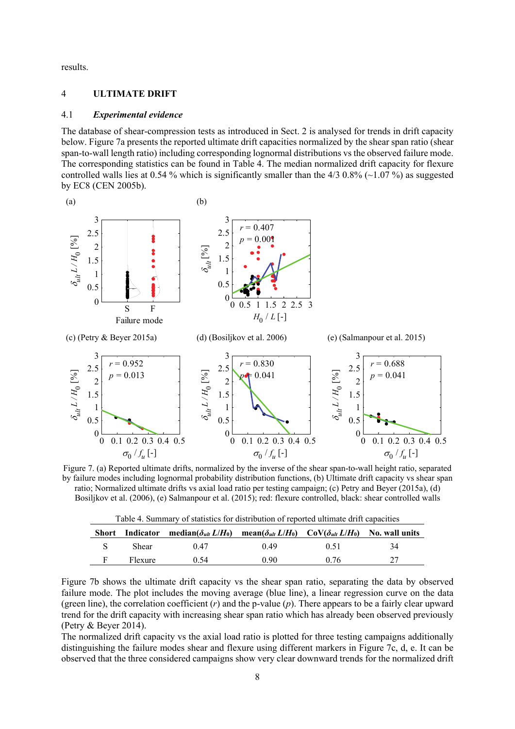results.

# 4 **ULTIMATE DRIFT**

### 4.1 *Experimental evidence*

The database of shear-compression tests as introduced in Sect. 2 is analysed for trends in drift capacity below. Figure 7a presents the reported ultimate drift capacities normalized by the shear span ratio (shear span-to-wall length ratio) including corresponding lognormal distributions vs the observed failure mode. The corresponding statistics can be found in Table 4. The median normalized drift capacity for flexure controlled walls lies at 0.54 % which is significantly smaller than the 4/3 0.8% ( $\sim$ 1.07 %) as suggested by EC8 (CEN 2005b).



Figure 7. (a) Reported ultimate drifts, normalized by the inverse of the shear span-to-wall height ratio, separated by failure modes including lognormal probability distribution functions, (b) Ultimate drift capacity vs shear span ratio; Normalized ultimate drifts vs axial load ratio per testing campaign; (c) Petry and Beyer (2015a), (d) Bosiljkov et al. (2006), (e) Salmanpour et al. (2015); red: flexure controlled, black: shear controlled walls

|         | Short Indicator median( $\delta_{u l t} L/H_0$ ) mean( $\delta_{u l t} L/H_0$ ) CoV( $\delta_{u l t} L/H_0$ ) No. wall units |      |      |    |
|---------|------------------------------------------------------------------------------------------------------------------------------|------|------|----|
| Shear   | 0.47                                                                                                                         | 0.49 | 0.51 | 34 |
| Flexure | 0.54                                                                                                                         | 0.90 | 0.76 |    |

|--|

Figure 7b shows the ultimate drift capacity vs the shear span ratio, separating the data by observed failure mode. The plot includes the moving average (blue line), a linear regression curve on the data (green line), the correlation coefficient (*r*) and the p-value (*p*). There appears to be a fairly clear upward trend for the drift capacity with increasing shear span ratio which has already been observed previously (Petry & Beyer 2014).

The normalized drift capacity vs the axial load ratio is plotted for three testing campaigns additionally distinguishing the failure modes shear and flexure using different markers in Figure 7c, d, e. It can be observed that the three considered campaigns show very clear downward trends for the normalized drift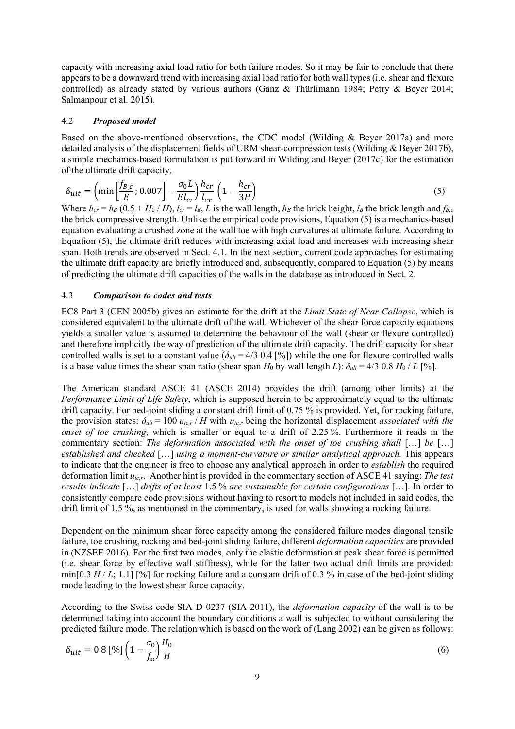capacity with increasing axial load ratio for both failure modes. So it may be fair to conclude that there appears to be a downward trend with increasing axial load ratio for both wall types (i.e. shear and flexure controlled) as already stated by various authors (Ganz & Thürlimann 1984; Petry & Beyer 2014; Salmanpour et al. 2015).

# 4.2 *Proposed model*

Based on the above-mentioned observations, the CDC model (Wilding & Beyer 2017a) and more detailed analysis of the displacement fields of URM shear-compression tests (Wilding & Beyer 2017b), a simple mechanics-based formulation is put forward in Wilding and Beyer (2017c) for the estimation of the ultimate drift capacity.

$$
\delta_{ult} = \left(\min\left[\frac{f_{B,c}}{E}; 0.007\right] - \frac{\sigma_0 L}{E l_{cr}}\right) \frac{h_{cr}}{l_{cr}} \left(1 - \frac{h_{cr}}{3H}\right) \tag{5}
$$

Where  $h_{cr} = h_B (0.5 + H_0/H)$ ,  $l_{cr} = l_B$ , *L* is the wall length,  $h_B$  the brick height,  $l_B$  the brick length and  $f_{B,c}$ the brick compressive strength. Unlike the empirical code provisions, Equation (5) is a mechanics-based equation evaluating a crushed zone at the wall toe with high curvatures at ultimate failure. According to Equation (5), the ultimate drift reduces with increasing axial load and increases with increasing shear span. Both trends are observed in Sect. 4.1. In the next section, current code approaches for estimating the ultimate drift capacity are briefly introduced and, subsequently, compared to Equation (5) by means of predicting the ultimate drift capacities of the walls in the database as introduced in Sect. 2.

# 4.3 *Comparison to codes and tests*

EC8 Part 3 (CEN 2005b) gives an estimate for the drift at the *Limit State of Near Collapse*, which is considered equivalent to the ultimate drift of the wall. Whichever of the shear force capacity equations yields a smaller value is assumed to determine the behaviour of the wall (shear or flexure controlled) and therefore implicitly the way of prediction of the ultimate drift capacity. The drift capacity for shear controlled walls is set to a constant value ( $\delta_{ult}$  = 4/3 0.4 [%]) while the one for flexure controlled walls is a base value times the shear span ratio (shear span  $H_0$  by wall length *L*):  $\delta_{ult} = 4/3 \cdot 0.8 \cdot H_0 / L$  [%].

The American standard ASCE 41 (ASCE 2014) provides the drift (among other limits) at the *Performance Limit of Life Safety*, which is supposed herein to be approximately equal to the ultimate drift capacity. For bed-joint sliding a constant drift limit of 0.75 % is provided. Yet, for rocking failure, the provision states:  $\delta_{ult} = 100 u_{tc,r}$  / *H* with  $u_{tc,r}$  being the horizontal displacement *associated with the onset of toe crushing*, which is smaller or equal to a drift of 2.25 %. Furthermore it reads in the commentary section: *The deformation associated with the onset of toe crushing shall* [...] *be* [...] *established and checked* […] *using a moment-curvature or similar analytical approach.* This appears to indicate that the engineer is free to choose any analytical approach in order to *establish* the required deformation limit *utc,r*. Another hint is provided in the commentary section of ASCE 41 saying: *The test results indicate* […] *drifts of at least* 1.5 % *are sustainable for certain configurations* […]. In order to consistently compare code provisions without having to resort to models not included in said codes, the drift limit of 1.5 %, as mentioned in the commentary, is used for walls showing a rocking failure.

Dependent on the minimum shear force capacity among the considered failure modes diagonal tensile failure, toe crushing, rocking and bed-joint sliding failure, different *deformation capacities* are provided in (NZSEE 2016). For the first two modes, only the elastic deformation at peak shear force is permitted (i.e. shear force by effective wall stiffness), while for the latter two actual drift limits are provided: min[0.3  $H/L$ ; 1.1] [%] for rocking failure and a constant drift of 0.3 % in case of the bed-joint sliding mode leading to the lowest shear force capacity.

According to the Swiss code SIA D 0237 (SIA 2011), the *deformation capacity* of the wall is to be determined taking into account the boundary conditions a wall is subjected to without considering the predicted failure mode. The relation which is based on the work of (Lang 2002) can be given as follows:

$$
\delta_{ult} = 0.8 \left[ \% \right] \left( 1 - \frac{\sigma_0}{f_u} \right) \frac{H_0}{H} \tag{6}
$$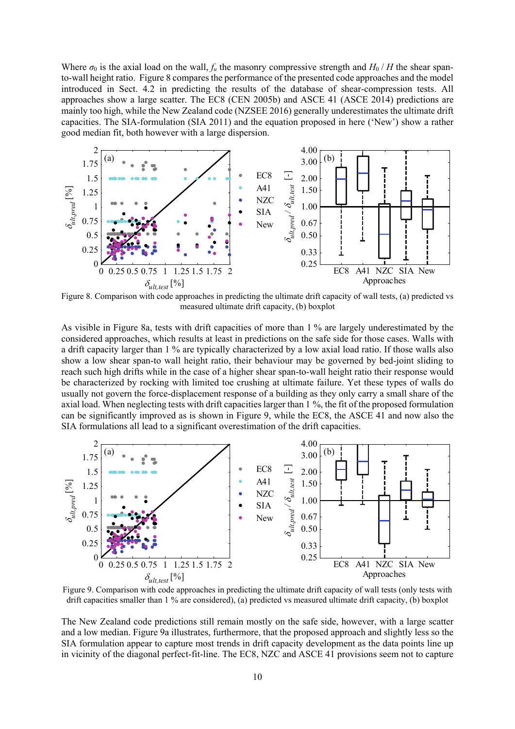Where  $\sigma_0$  is the axial load on the wall,  $f_u$  the masonry compressive strength and  $H_0/H$  the shear spanto-wall height ratio. Figure 8 compares the performance of the presented code approaches and the model introduced in Sect. 4.2 in predicting the results of the database of shear-compression tests. All approaches show a large scatter. The EC8 (CEN 2005b) and ASCE 41 (ASCE 2014) predictions are mainly too high, while the New Zealand code (NZSEE 2016) generally underestimates the ultimate drift capacities. The SIA-formulation (SIA 2011) and the equation proposed in here ('New') show a rather good median fit, both however with a large dispersion.



Figure 8. Comparison with code approaches in predicting the ultimate drift capacity of wall tests, (a) predicted vs measured ultimate drift capacity, (b) boxplot

As visible in Figure 8a, tests with drift capacities of more than 1 % are largely underestimated by the considered approaches, which results at least in predictions on the safe side for those cases. Walls with a drift capacity larger than 1 % are typically characterized by a low axial load ratio. If those walls also show a low shear span-to wall height ratio, their behaviour may be governed by bed-joint sliding to reach such high drifts while in the case of a higher shear span-to-wall height ratio their response would be characterized by rocking with limited toe crushing at ultimate failure. Yet these types of walls do usually not govern the force-displacement response of a building as they only carry a small share of the axial load. When neglecting tests with drift capacities larger than 1 %, the fit of the proposed formulation can be significantly improved as is shown in Figure 9, while the EC8, the ASCE 41 and now also the SIA formulations all lead to a significant overestimation of the drift capacities.



Figure 9. Comparison with code approaches in predicting the ultimate drift capacity of wall tests (only tests with drift capacities smaller than 1 % are considered), (a) predicted vs measured ultimate drift capacity, (b) boxplot

The New Zealand code predictions still remain mostly on the safe side, however, with a large scatter and a low median. Figure 9a illustrates, furthermore, that the proposed approach and slightly less so the SIA formulation appear to capture most trends in drift capacity development as the data points line up in vicinity of the diagonal perfect-fit-line. The EC8, NZC and ASCE 41 provisions seem not to capture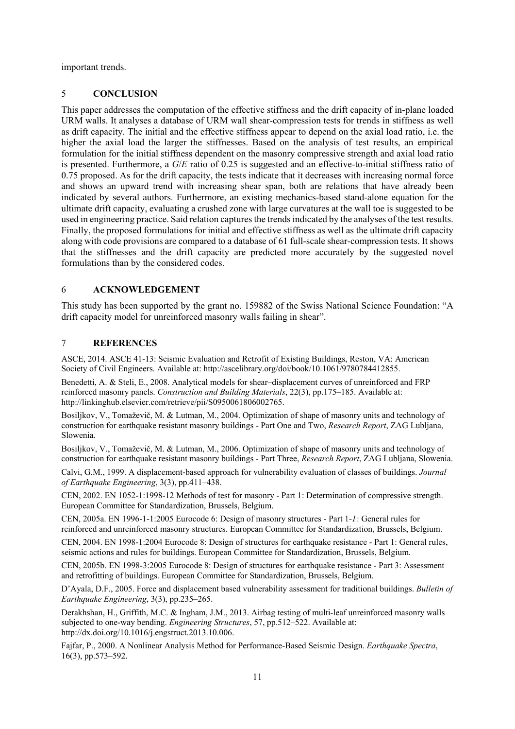important trends.

# 5 **CONCLUSION**

This paper addresses the computation of the effective stiffness and the drift capacity of in-plane loaded URM walls. It analyses a database of URM wall shear-compression tests for trends in stiffness as well as drift capacity. The initial and the effective stiffness appear to depend on the axial load ratio, i.e. the higher the axial load the larger the stiffnesses. Based on the analysis of test results, an empirical formulation for the initial stiffness dependent on the masonry compressive strength and axial load ratio is presented. Furthermore, a *G*/*E* ratio of 0.25 is suggested and an effective-to-initial stiffness ratio of 0.75 proposed. As for the drift capacity, the tests indicate that it decreases with increasing normal force and shows an upward trend with increasing shear span, both are relations that have already been indicated by several authors. Furthermore, an existing mechanics-based stand-alone equation for the ultimate drift capacity, evaluating a crushed zone with large curvatures at the wall toe is suggested to be used in engineering practice. Said relation captures the trends indicated by the analyses of the test results. Finally, the proposed formulations for initial and effective stiffness as well as the ultimate drift capacity along with code provisions are compared to a database of 61 full-scale shear-compression tests. It shows that the stiffnesses and the drift capacity are predicted more accurately by the suggested novel formulations than by the considered codes.

# 6 **ACKNOWLEDGEMENT**

This study has been supported by the grant no. 159882 of the Swiss National Science Foundation: "A drift capacity model for unreinforced masonry walls failing in shear".

# 7 **REFERENCES**

ASCE, 2014. ASCE 41-13: Seismic Evaluation and Retrofit of Existing Buildings, Reston, VA: American Society of Civil Engineers. Available at: http://ascelibrary.org/doi/book/10.1061/9780784412855.

Benedetti, A. & Steli, E., 2008. Analytical models for shear–displacement curves of unreinforced and FRP reinforced masonry panels. *Construction and Building Materials*, 22(3), pp.175–185. Available at: http://linkinghub.elsevier.com/retrieve/pii/S0950061806002765.

Bosiljkov, V., Tomaževič, M. & Lutman, M., 2004. Optimization of shape of masonry units and technology of construction for earthquake resistant masonry buildings - Part One and Two, *Research Report*, ZAG Lubljana, Slowenia.

Bosiljkov, V., Tomaževič, M. & Lutman, M., 2006. Optimization of shape of masonry units and technology of construction for earthquake resistant masonry buildings - Part Three, *Research Report*, ZAG Lubljana, Slowenia.

Calvi, G.M., 1999. A displacement-based approach for vulnerability evaluation of classes of buildings. *Journal of Earthquake Engineering*, 3(3), pp.411–438.

CEN, 2002. EN 1052-1:1998-12 Methods of test for masonry - Part 1: Determination of compressive strength. European Committee for Standardization, Brussels, Belgium.

CEN, 2005a. EN 1996-1-1:2005 Eurocode 6: Design of masonry structures - Part 1*-1:* General rules for reinforced and unreinforced masonry structures. European Committee for Standardization, Brussels, Belgium.

CEN, 2004. EN 1998-1:2004 Eurocode 8: Design of structures for earthquake resistance - Part 1: General rules, seismic actions and rules for buildings. European Committee for Standardization, Brussels, Belgium.

CEN, 2005b. EN 1998-3:2005 Eurocode 8: Design of structures for earthquake resistance - Part 3: Assessment and retrofitting of buildings. European Committee for Standardization, Brussels, Belgium.

D'Ayala, D.F., 2005. Force and displacement based vulnerability assessment for traditional buildings. *Bulletin of Earthquake Engineering*, 3(3), pp.235–265.

Derakhshan, H., Griffith, M.C. & Ingham, J.M., 2013. Airbag testing of multi-leaf unreinforced masonry walls subjected to one-way bending. *Engineering Structures*, 57, pp.512–522. Available at: http://dx.doi.org/10.1016/j.engstruct.2013.10.006.

Fajfar, P., 2000. A Nonlinear Analysis Method for Performance-Based Seismic Design. *Earthquake Spectra*, 16(3), pp.573–592.